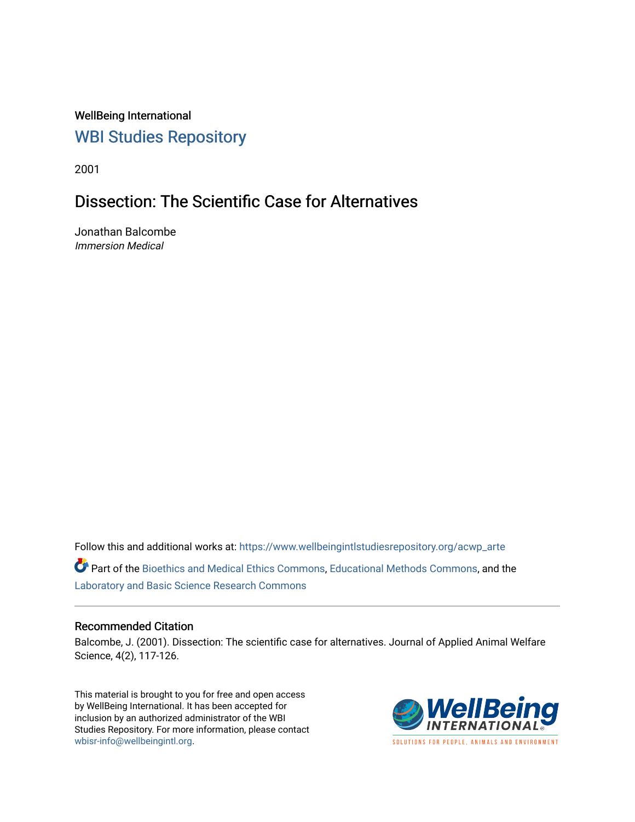# WellBeing International [WBI Studies Repository](https://www.wellbeingintlstudiesrepository.org/)

2001

# Dissection: The Scientific Case for Alternatives

Jonathan Balcombe Immersion Medical

Follow this and additional works at: [https://www.wellbeingintlstudiesrepository.org/acwp\\_arte](https://www.wellbeingintlstudiesrepository.org/acwp_arte?utm_source=www.wellbeingintlstudiesrepository.org%2Facwp_arte%2F22&utm_medium=PDF&utm_campaign=PDFCoverPages)

Part of the [Bioethics and Medical Ethics Commons,](http://network.bepress.com/hgg/discipline/650?utm_source=www.wellbeingintlstudiesrepository.org%2Facwp_arte%2F22&utm_medium=PDF&utm_campaign=PDFCoverPages) [Educational Methods Commons,](http://network.bepress.com/hgg/discipline/1227?utm_source=www.wellbeingintlstudiesrepository.org%2Facwp_arte%2F22&utm_medium=PDF&utm_campaign=PDFCoverPages) and the [Laboratory and Basic Science Research Commons](http://network.bepress.com/hgg/discipline/812?utm_source=www.wellbeingintlstudiesrepository.org%2Facwp_arte%2F22&utm_medium=PDF&utm_campaign=PDFCoverPages) 

#### Recommended Citation

Balcombe, J. (2001). Dissection: The scientific case for alternatives. Journal of Applied Animal Welfare Science, 4(2), 117-126.

This material is brought to you for free and open access by WellBeing International. It has been accepted for inclusion by an authorized administrator of the WBI Studies Repository. For more information, please contact [wbisr-info@wellbeingintl.org](mailto:wbisr-info@wellbeingintl.org).



SOLUTIONS FOR PEOPLE. ANIMALS AND ENVIRONMENT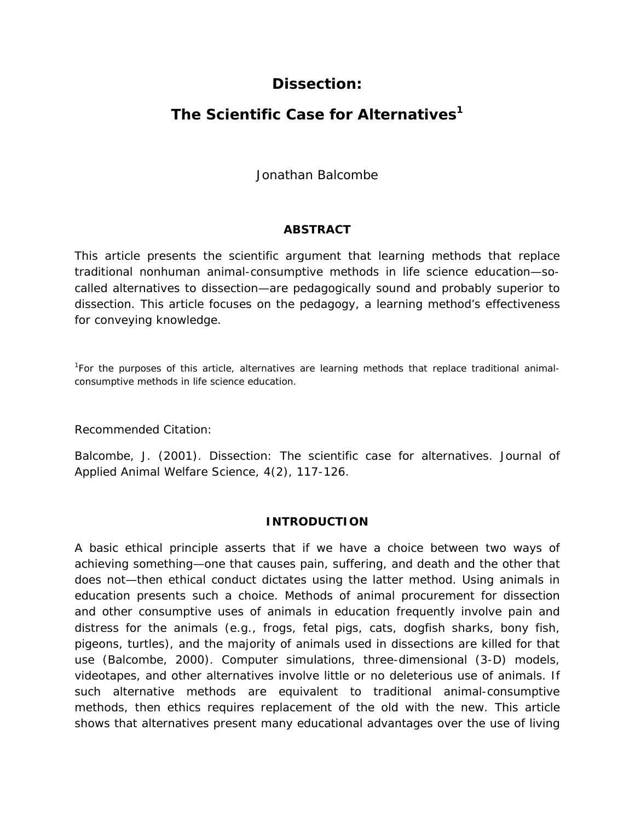# **Dissection:**

# **The Scientific Case for Alternatives1**

*Jonathan Balcombe* 

## **ABSTRACT**

This article presents the scientific argument that learning methods that replace traditional nonhuman animal-consumptive methods in life science education—socalled alternatives to dissection—are pedagogically sound and probably superior to dissection. This article focuses on the pedagogy, a learning method's effectiveness for conveying knowledge.

<sup>1</sup>For the purposes of this article, alternatives are learning methods that replace traditional animalconsumptive methods in life science education.

Recommended Citation:

Balcombe, J. (2001). Dissection: The scientific case for alternatives. Journal of Applied Animal Welfare Science, 4(2), 117-126.

#### **INTRODUCTION**

A basic ethical principle asserts that if we have a choice between two ways of achieving something—one that causes pain, suffering, and death and the other that does not—then ethical conduct dictates using the latter method. Using animals in education presents such a choice. Methods of animal procurement for dissection and other consumptive uses of animals in education frequently involve pain and distress for the animals (e.g., frogs, fetal pigs, cats, dogfish sharks, bony fish, pigeons, turtles), and the majority of animals used in dissections are killed for that use (Balcombe, 2000). Computer simulations, three-dimensional (3-D) models, videotapes, and other alternatives involve little or no deleterious use of animals. If such alternative methods are equivalent to traditional animal-consumptive methods, then ethics requires replacement of the old with the new. This article shows that alternatives present many educational advantages over the use of living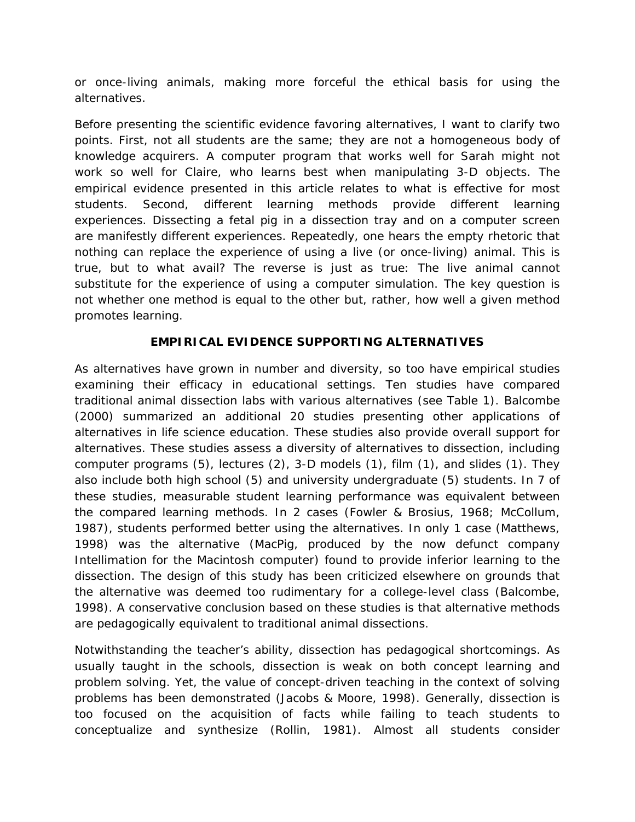or once-living animals, making more forceful the ethical basis for using the alternatives.

Before presenting the scientific evidence favoring alternatives, I want to clarify two points. First, not all students are the same; they are not a homogeneous body of knowledge acquirers. A computer program that works well for Sarah might not work so well for Claire, who learns best when manipulating 3-D objects. The empirical evidence presented in this article relates to what is effective for most students. Second, different learning methods provide different learning experiences. Dissecting a fetal pig in a dissection tray and on a computer screen are manifestly different experiences. Repeatedly, one hears the empty rhetoric that nothing can replace the experience of using a live (or once-living) animal. This is true, but to what avail? The reverse is just as true: The live animal cannot substitute for the experience of using a computer simulation. The key question is not whether one method is equal to the other but, rather, how well a given method promotes learning.

# **EMPIRICAL EVIDENCE SUPPORTING ALTERNATIVES**

As alternatives have grown in number and diversity, so too have empirical studies examining their efficacy in educational settings. Ten studies have compared traditional animal dissection labs with various alternatives (see Table 1). Balcombe (2000) summarized an additional 20 studies presenting other applications of alternatives in life science education. These studies also provide overall support for alternatives. These studies assess a diversity of alternatives to dissection, including computer programs (5), lectures (2), 3-D models (1), film (1), and slides (1). They also include both high school (5) and university undergraduate (5) students. In 7 of these studies, measurable student learning performance was equivalent between the compared learning methods. In 2 cases (Fowler & Brosius, 1968; McCollum, 1987), students performed better using the alternatives. In only 1 case (Matthews, 1998) was the alternative (MacPig, produced by the now defunct company Intellimation for the Macintosh computer) found to provide inferior learning to the dissection. The design of this study has been criticized elsewhere on grounds that the alternative was deemed too rudimentary for a college-level class (Balcombe, 1998). A conservative conclusion based on these studies is that alternative methods are pedagogically equivalent to traditional animal dissections.

Notwithstanding the teacher's ability, dissection has pedagogical shortcomings. As usually taught in the schools, dissection is weak on both concept learning and problem solving. Yet, the value of concept-driven teaching in the context of solving problems has been demonstrated (Jacobs & Moore, 1998). Generally, dissection is too focused on the acquisition of facts while failing to teach students to conceptualize and synthesize (Rollin, 1981). Almost all students consider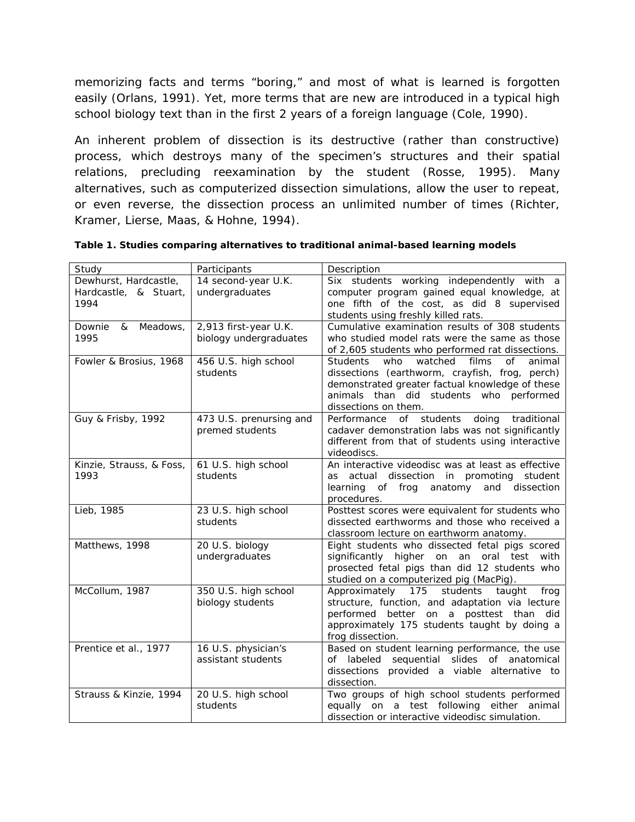memorizing facts and terms "boring," and most of what is learned is forgotten easily (Orlans, 1991). Yet, more terms that are new are introduced in a typical high school biology text than in the first 2 years of a foreign language (Cole, 1990).

An inherent problem of dissection is its destructive (rather than constructive) process, which destroys many of the specimen's structures and their spatial relations, precluding reexamination by the student (Rosse, 1995). Many alternatives, such as computerized dissection simulations, allow the user to repeat, or even reverse, the dissection process an unlimited number of times (Richter, Kramer, Lierse, Maas, & Hohne, 1994).

| Study                    | Participants            | Description                                            |
|--------------------------|-------------------------|--------------------------------------------------------|
| Dewhurst, Hardcastle,    | 14 second-year U.K.     | Six students working independently with a              |
| Hardcastle, & Stuart,    | undergraduates          | computer program gained equal knowledge, at            |
| 1994                     |                         | one fifth of the cost, as did 8 supervised             |
|                          |                         | students using freshly killed rats.                    |
| Downie<br>Meadows,<br>&  | 2,913 first-year U.K.   | Cumulative examination results of 308 students         |
| 1995                     | biology undergraduates  | who studied model rats were the same as those          |
|                          |                         | of 2,605 students who performed rat dissections.       |
| Fowler & Brosius, 1968   | 456 U.S. high school    | watched<br>who<br>films<br>of<br>Students<br>animal    |
|                          | students                | dissections (earthworm, crayfish, frog, perch)         |
|                          |                         | demonstrated greater factual knowledge of these        |
|                          |                         | animals than did students who performed                |
|                          |                         | dissections on them.                                   |
| Guy & Frisby, 1992       | 473 U.S. prenursing and | of students<br>Performance<br>doing<br>traditional     |
|                          | premed students         | cadaver demonstration labs was not significantly       |
|                          |                         | different from that of students using interactive      |
|                          |                         | videodiscs.                                            |
| Kinzie, Strauss, & Foss, | 61 U.S. high school     | An interactive videodisc was at least as effective     |
| 1993                     | students                | as actual dissection in promoting<br>student           |
|                          |                         | learning<br>of<br>frog<br>anatomy<br>and<br>dissection |
|                          |                         | procedures.                                            |
| Lieb, 1985               | 23 U.S. high school     | Posttest scores were equivalent for students who       |
|                          | students                | dissected earthworms and those who received a          |
|                          |                         | classroom lecture on earthworm anatomy.                |
| Matthews, 1998           | 20 U.S. biology         | Eight students who dissected fetal pigs scored         |
|                          | undergraduates          | significantly higher on an oral test with              |
|                          |                         | prosected fetal pigs than did 12 students who          |
|                          |                         | studied on a computerized pig (MacPig).                |
| McCollum, 1987           | 350 U.S. high school    | students<br>Approximately 175<br>taught<br>frog        |
|                          | biology students        | structure, function, and adaptation via lecture        |
|                          |                         | performed better on a posttest than did                |
|                          |                         | approximately 175 students taught by doing a           |
|                          |                         | frog dissection.                                       |
| Prentice et al., 1977    | 16 U.S. physician's     | Based on student learning performance, the use         |
|                          | assistant students      | slides of anatomical<br>of labeled sequential          |
|                          |                         | dissections provided a viable alternative to           |
|                          |                         | dissection.                                            |
| Strauss & Kinzie, 1994   | 20 U.S. high school     | Two groups of high school students performed           |
|                          | students                | equally on a test following<br>either animal           |
|                          |                         | dissection or interactive videodisc simulation.        |

**Table 1. Studies comparing alternatives to traditional animal-based learning models**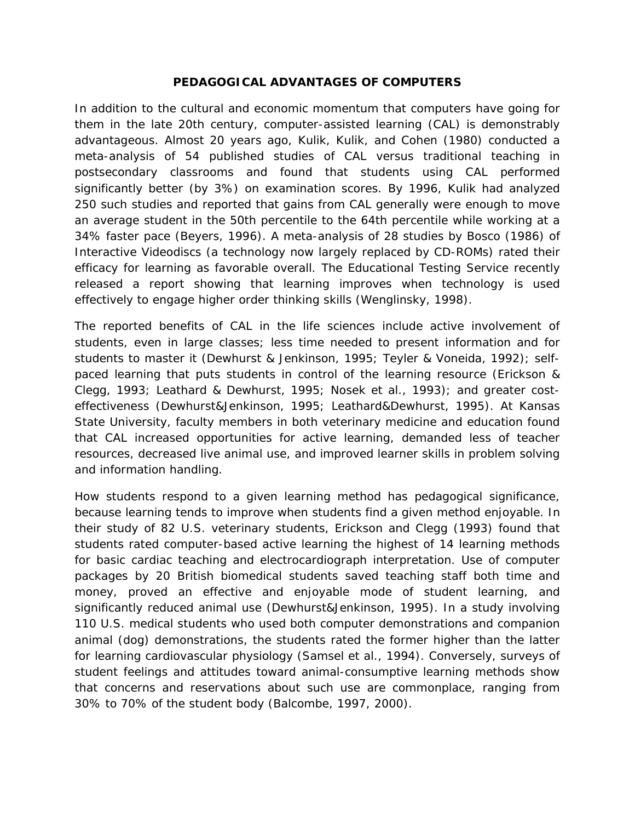### **PEDAGOGICAL ADVANTAGES OF COMPUTERS**

In addition to the cultural and economic momentum that computers have going for them in the late 20th century, computer-assisted learning (CAL) is demonstrably advantageous. Almost 20 years ago, Kulik, Kulik, and Cohen (1980) conducted a meta-analysis of 54 published studies of CAL versus traditional teaching in postsecondary classrooms and found that students using CAL performed significantly better (by 3%) on examination scores. By 1996, Kulik had analyzed 250 such studies and reported that gains from CAL generally were enough to move an average student in the 50th percentile to the 64th percentile while working at a 34% faster pace (Beyers, 1996). A meta-analysis of 28 studies by Bosco (1986) of Interactive Videodiscs (a technology now largely replaced by CD-ROMs) rated their efficacy for learning as favorable overall. The Educational Testing Service recently released a report showing that learning improves when technology is used effectively to engage higher order thinking skills (Wenglinsky, 1998).

The reported benefits of CAL in the life sciences include active involvement of students, even in large classes; less time needed to present information and for students to master it (Dewhurst & Jenkinson, 1995; Teyler & Voneida, 1992); selfpaced learning that puts students in control of the learning resource (Erickson & Clegg, 1993; Leathard & Dewhurst, 1995; Nosek et al., 1993); and greater costeffectiveness (Dewhurst&Jenkinson, 1995; Leathard&Dewhurst, 1995). At Kansas State University, faculty members in both veterinary medicine and education found that CAL increased opportunities for active learning, demanded less of teacher resources, decreased live animal use, and improved learner skills in problem solving and information handling.

How students respond to a given learning method has pedagogical significance, because learning tends to improve when students find a given method enjoyable. In their study of 82 U.S. veterinary students, Erickson and Clegg (1993) found that students rated computer-based active learning the highest of 14 learning methods for basic cardiac teaching and electrocardiograph interpretation. Use of computer packages by 20 British biomedical students saved teaching staff both time and money, proved an effective and enjoyable mode of student learning, and significantly reduced animal use (Dewhurst&Jenkinson, 1995). In a study involving 110 U.S. medical students who used both computer demonstrations and companion animal (dog) demonstrations, the students rated the former higher than the latter for learning cardiovascular physiology (Samsel et al., 1994). Conversely, surveys of student feelings and attitudes toward animal-consumptive learning methods show that concerns and reservations about such use are commonplace, ranging from 30% to 70% of the student body (Balcombe, 1997, 2000).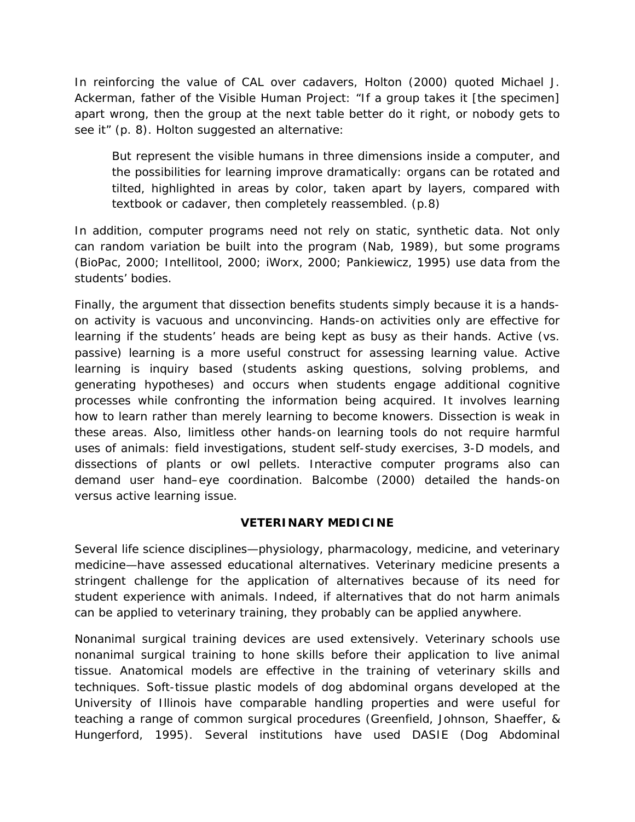In reinforcing the value of CAL over cadavers, Holton (2000) quoted Michael J. Ackerman, father of the Visible Human Project: "If a group takes it [the specimen] apart wrong, then the group at the next table better do it right, or nobody gets to see it" (p. 8). Holton suggested an alternative:

*But represent the visible humans in three dimensions inside a computer, and the possibilities for learning improve dramatically: organs can be rotated and tilted, highlighted in areas by color, taken apart by layers, compared with textbook or cadaver, then completely reassembled. (p.8)* 

In addition, computer programs need not rely on static, synthetic data. Not only can random variation be built into the program (Nab, 1989), but some programs (BioPac, 2000; Intellitool, 2000; iWorx, 2000; Pankiewicz, 1995) use data from the students' bodies.

Finally, the argument that dissection benefits students simply because it is a handson activity is vacuous and unconvincing. Hands-on activities only are effective for learning if the students' heads are being kept as busy as their hands. Active (vs. passive) learning is a more useful construct for assessing learning value. Active learning is inquiry based (students asking questions, solving problems, and generating hypotheses) and occurs when students engage additional cognitive processes while confronting the information being acquired. It involves learning how to learn rather than merely learning to become knowers. Dissection is weak in these areas. Also, limitless other hands-on learning tools do not require harmful uses of animals: field investigations, student self-study exercises, 3-D models, and dissections of plants or owl pellets. Interactive computer programs also can demand user hand–eye coordination. Balcombe (2000) detailed the hands-on versus active learning issue.

# **VETERINARY MEDICINE**

Several life science disciplines—physiology, pharmacology, medicine, and veterinary medicine—have assessed educational alternatives. Veterinary medicine presents a stringent challenge for the application of alternatives because of its need for student experience with animals. Indeed, if alternatives that do not harm animals can be applied to veterinary training, they probably can be applied anywhere.

Nonanimal surgical training devices are used extensively. Veterinary schools use nonanimal surgical training to hone skills before their application to live animal tissue. Anatomical models are effective in the training of veterinary skills and techniques. Soft-tissue plastic models of dog abdominal organs developed at the University of Illinois have comparable handling properties and were useful for teaching a range of common surgical procedures (Greenfield, Johnson, Shaeffer, & Hungerford, 1995). Several institutions have used DASIE (Dog Abdominal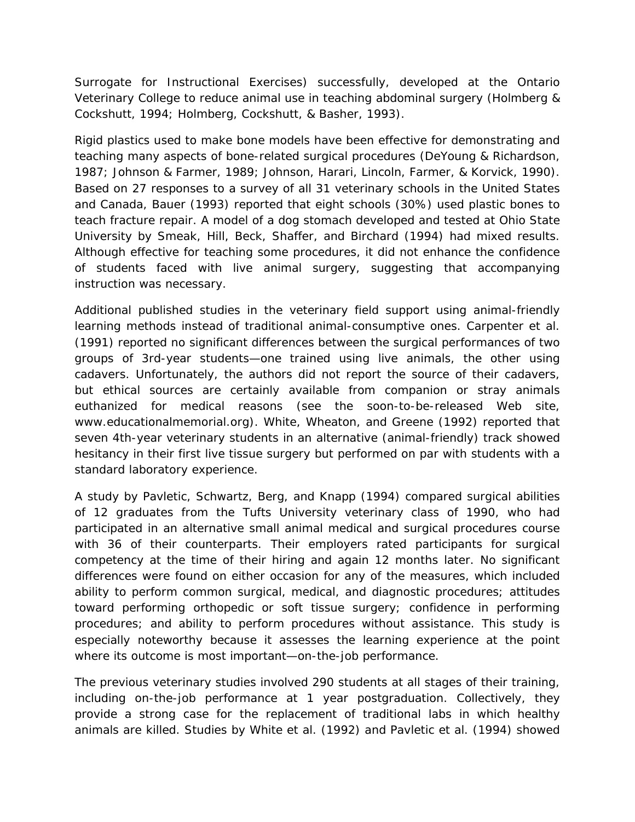Surrogate for Instructional Exercises) successfully, developed at the Ontario Veterinary College to reduce animal use in teaching abdominal surgery (Holmberg & Cockshutt, 1994; Holmberg, Cockshutt, & Basher, 1993).

Rigid plastics used to make bone models have been effective for demonstrating and teaching many aspects of bone-related surgical procedures (DeYoung & Richardson, 1987; Johnson & Farmer, 1989; Johnson, Harari, Lincoln, Farmer, & Korvick, 1990). Based on 27 responses to a survey of all 31 veterinary schools in the United States and Canada, Bauer (1993) reported that eight schools (30%) used plastic bones to teach fracture repair. A model of a dog stomach developed and tested at Ohio State University by Smeak, Hill, Beck, Shaffer, and Birchard (1994) had mixed results. Although effective for teaching some procedures, it did not enhance the confidence of students faced with live animal surgery, suggesting that accompanying instruction was necessary.

Additional published studies in the veterinary field support using animal-friendly learning methods instead of traditional animal-consumptive ones. Carpenter et al. (1991) reported no significant differences between the surgical performances of two groups of 3rd-year students—one trained using live animals, the other using cadavers. Unfortunately, the authors did not report the source of their cadavers, but ethical sources are certainly available from companion or stray animals euthanized for medical reasons (see the soon-to-be-released Web site, www.educationalmemorial.org). White, Wheaton, and Greene (1992) reported that seven 4th-year veterinary students in an alternative (animal-friendly) track showed hesitancy in their first live tissue surgery but performed on par with students with a standard laboratory experience.

A study by Pavletic, Schwartz, Berg, and Knapp (1994) compared surgical abilities of 12 graduates from the Tufts University veterinary class of 1990, who had participated in an alternative small animal medical and surgical procedures course with 36 of their counterparts. Their employers rated participants for surgical competency at the time of their hiring and again 12 months later. No significant differences were found on either occasion for any of the measures, which included ability to perform common surgical, medical, and diagnostic procedures; attitudes toward performing orthopedic or soft tissue surgery; confidence in performing procedures; and ability to perform procedures without assistance. This study is especially noteworthy because it assesses the learning experience at the point where its outcome is most important—on-the-job performance.

The previous veterinary studies involved 290 students at all stages of their training, including on-the-job performance at 1 year postgraduation. Collectively, they provide a strong case for the replacement of traditional labs in which healthy animals are killed. Studies by White et al. (1992) and Pavletic et al. (1994) showed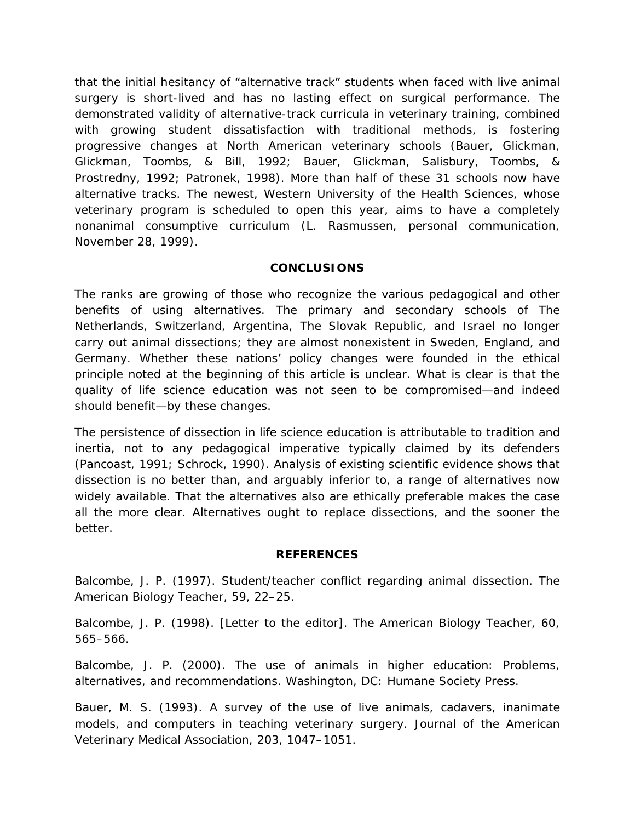that the initial hesitancy of "alternative track" students when faced with live animal surgery is short-lived and has no lasting effect on surgical performance. The demonstrated validity of alternative-track curricula in veterinary training, combined with growing student dissatisfaction with traditional methods, is fostering progressive changes at North American veterinary schools (Bauer, Glickman, Glickman, Toombs, & Bill, 1992; Bauer, Glickman, Salisbury, Toombs, & Prostredny, 1992; Patronek, 1998). More than half of these 31 schools now have alternative tracks. The newest, Western University of the Health Sciences, whose veterinary program is scheduled to open this year, aims to have a completely nonanimal consumptive curriculum (L. Rasmussen, personal communication, November 28, 1999).

## **CONCLUSIONS**

The ranks are growing of those who recognize the various pedagogical and other benefits of using alternatives. The primary and secondary schools of The Netherlands, Switzerland, Argentina, The Slovak Republic, and Israel no longer carry out animal dissections; they are almost nonexistent in Sweden, England, and Germany. Whether these nations' policy changes were founded in the ethical principle noted at the beginning of this article is unclear. What is clear is that the quality of life science education was not seen to be compromised—and indeed should benefit—by these changes.

The persistence of dissection in life science education is attributable to tradition and inertia, not to any pedagogical imperative typically claimed by its defenders (Pancoast, 1991; Schrock, 1990). Analysis of existing scientific evidence shows that dissection is no better than, and arguably inferior to, a range of alternatives now widely available. That the alternatives also are ethically preferable makes the case all the more clear. Alternatives ought to replace dissections, and the sooner the better.

### **REFERENCES**

Balcombe, J. P. (1997). Student/teacher conflict regarding animal dissection. *The American Biology Teacher, 59,* 22–25.

Balcombe, J. P. (1998). [Letter to the editor]. *The American Biology Teacher, 60,*  565–566.

Balcombe, J. P. (2000). *The use of animals in higher education: Problems, alternatives, and recommendations*. Washington, DC: Humane Society Press.

Bauer, M. S. (1993). A survey of the use of live animals, cadavers, inanimate models, and computers in teaching veterinary surgery. *Journal of the American Veterinary Medical Association, 203,* 1047–1051.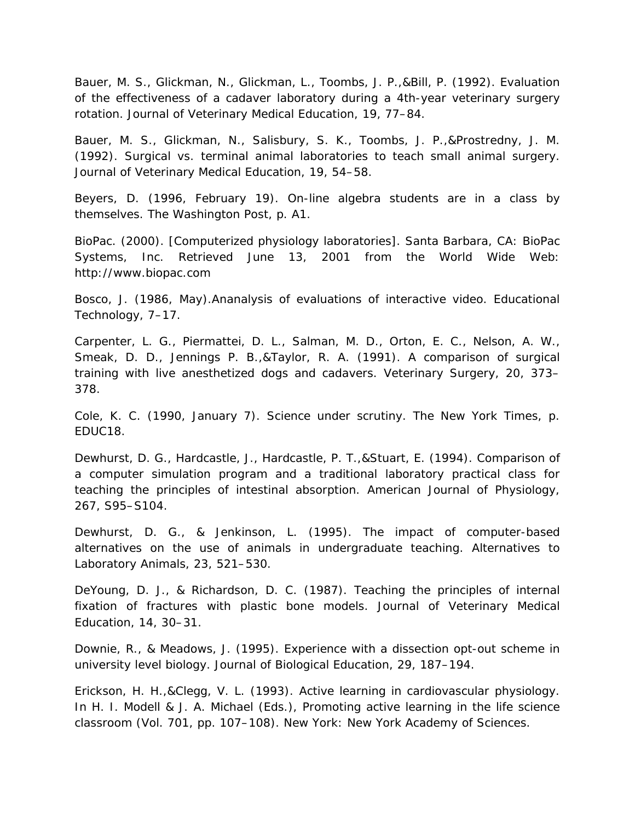Bauer, M. S., Glickman, N., Glickman, L., Toombs, J. P.,&Bill, P. (1992). Evaluation of the effectiveness of a cadaver laboratory during a 4th-year veterinary surgery rotation. *Journal of Veterinary Medical Education, 19,* 77–84.

Bauer, M. S., Glickman, N., Salisbury, S. K., Toombs, J. P.,&Prostredny, J. M. (1992). Surgical vs. terminal animal laboratories to teach small animal surgery. *Journal of Veterinary Medical Education, 19,* 54–58.

Beyers, D. (1996, February 19). On-line algebra students are in a class by themselves. *The Washington Post,* p. A1.

BioPac. (2000). [Computerized physiology laboratories]. Santa Barbara, CA: BioPac Systems, Inc. Retrieved June 13, 2001 from the World Wide Web: http://www.biopac.com

Bosco, J. (1986, May).Ananalysis of evaluations of interactive video. *Educational Technology,* 7–17.

Carpenter, L. G., Piermattei, D. L., Salman, M. D., Orton, E. C., Nelson, A. W., Smeak, D. D., Jennings P. B.,&Taylor, R. A. (1991). A comparison of surgical training with live anesthetized dogs and cadavers. *Veterinary Surgery, 20,* 373– 378.

Cole, K. C. (1990, January 7). Science under scrutiny. *The New York Times,* p. EDUC18.

Dewhurst, D. G., Hardcastle, J., Hardcastle, P. T.,&Stuart, E. (1994). Comparison of a computer simulation program and a traditional laboratory practical class for teaching the principles of intestinal absorption. *American Journal of Physiology, 267,* S95–S104.

Dewhurst, D. G., & Jenkinson, L. (1995). The impact of computer-based alternatives on the use of animals in undergraduate teaching. *Alternatives to Laboratory Animals, 23,* 521–530.

DeYoung, D. J., & Richardson, D. C. (1987). Teaching the principles of internal fixation of fractures with plastic bone models. *Journal of Veterinary Medical Education, 14,* 30–31.

Downie, R., & Meadows, J. (1995). Experience with a dissection opt-out scheme in university level biology. *Journal of Biological Education, 29,* 187–194.

Erickson, H. H.,&Clegg, V. L. (1993). Active learning in cardiovascular physiology. In H. I. Modell & J. A. Michael (Eds.), *Promoting active learning in the life science classroom* (Vol. 701, pp. 107–108). New York: New York Academy of Sciences.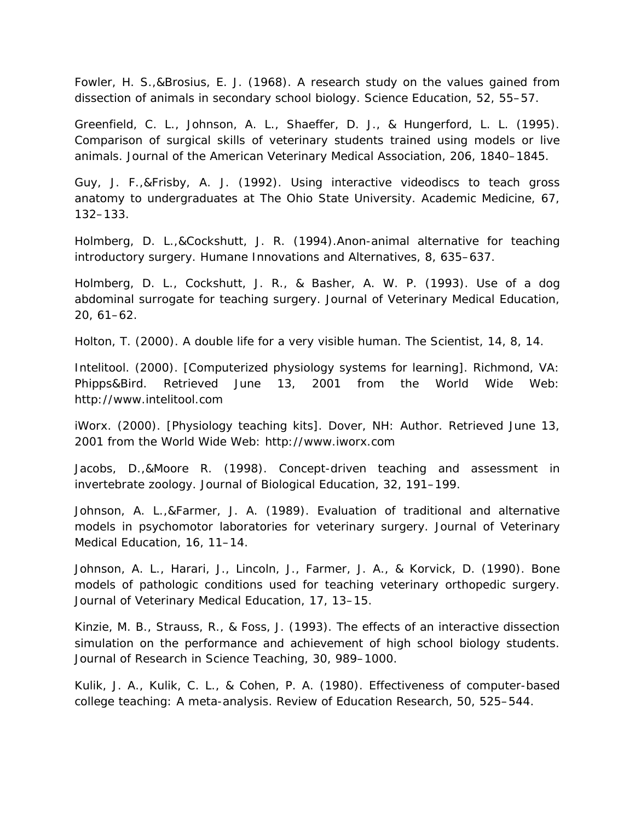Fowler, H. S.,&Brosius, E. J. (1968). A research study on the values gained from dissection of animals in secondary school biology. *Science Education, 52,* 55–57.

Greenfield, C. L., Johnson, A. L., Shaeffer, D. J., & Hungerford, L. L. (1995). Comparison of surgical skills of veterinary students trained using models or live animals. *Journal of the American Veterinary Medical Association, 206,* 1840–1845.

Guy, J. F.,&Frisby, A. J. (1992). Using interactive videodiscs to teach gross anatomy to undergraduates at The Ohio State University. *Academic Medicine, 67,*  132–133.

Holmberg, D. L.,&Cockshutt, J. R. (1994).Anon-animal alternative for teaching introductory surgery. *Humane Innovations and Alternatives, 8,* 635–637.

Holmberg, D. L., Cockshutt, J. R., & Basher, A. W. P. (1993). Use of a dog abdominal surrogate for teaching surgery. *Journal of Veterinary Medical Education, 20,* 61–62.

Holton, T. (2000). A double life for a very visible human. *The Scientist, 14,* 8, 14.

Intelitool. (2000). [Computerized physiology systems for learning]. Richmond, VA: Phipps&Bird. Retrieved June 13, 2001 from the World Wide Web: http://www.intelitool.com

iWorx. (2000). [Physiology teaching kits]. Dover, NH: Author. Retrieved June 13, 2001 from the World Wide Web: http://www.iworx.com

Jacobs, D.,&Moore R. (1998). Concept-driven teaching and assessment in invertebrate zoology. *Journal of Biological Education, 32,* 191–199.

Johnson, A. L.,&Farmer, J. A. (1989). Evaluation of traditional and alternative models in psychomotor laboratories for veterinary surgery. *Journal of Veterinary Medical Education, 16,* 11–14.

Johnson, A. L., Harari, J., Lincoln, J., Farmer, J. A., & Korvick, D. (1990). Bone models of pathologic conditions used for teaching veterinary orthopedic surgery. *Journal of Veterinary Medical Education, 17,* 13–15.

Kinzie, M. B., Strauss, R., & Foss, J. (1993). The effects of an interactive dissection simulation on the performance and achievement of high school biology students. *Journal of Research in Science Teaching, 30,* 989–1000.

Kulik, J. A., Kulik, C. L., & Cohen, P. A. (1980). Effectiveness of computer-based college teaching: A meta-analysis. *Review of Education Research, 50,* 525–544.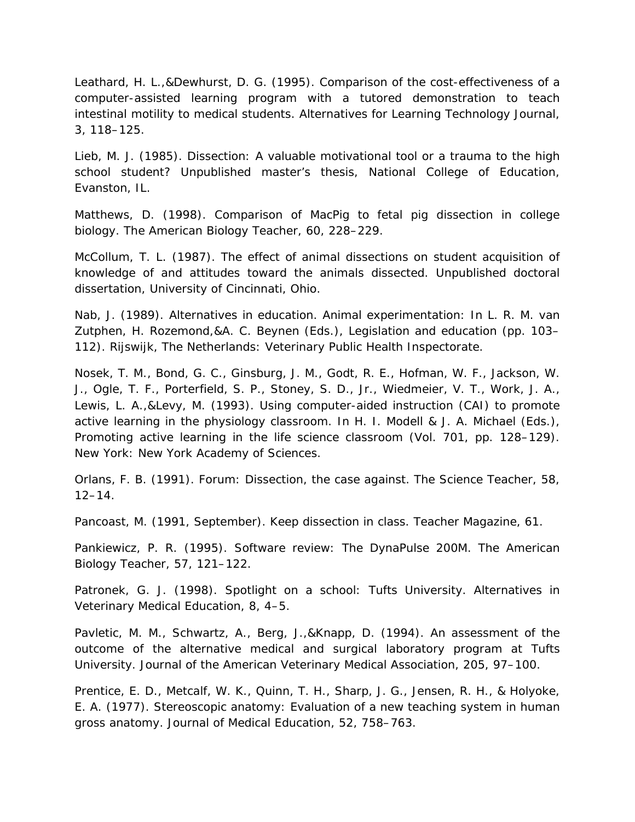Leathard, H. L.,&Dewhurst, D. G. (1995). Comparison of the cost-effectiveness of a computer-assisted learning program with a tutored demonstration to teach intestinal motility to medical students. *Alternatives for Learning Technology Journal, 3,* 118–125.

Lieb, M. J. (1985). *Dissection: A valuable motivational tool or a trauma to the high school student?* Unpublished master's thesis, National College of Education, Evanston, IL.

Matthews, D. (1998). Comparison of MacPig to fetal pig dissection in college biology. *The American Biology Teacher, 60,* 228–229.

McCollum, T. L. (1987). *The effect of animal dissections on student acquisition of knowledge of and attitudes toward the animals dissected.* Unpublished doctoral dissertation, University of Cincinnati, Ohio.

Nab, J. (1989). Alternatives in education. *Animal experimentation:* In L. R. M. van Zutphen, H. Rozemond,&A. C. Beynen (Eds.), *Legislation and education* (pp. 103– 112). Rijswijk, The Netherlands: Veterinary Public Health Inspectorate.

Nosek, T. M., Bond, G. C., Ginsburg, J. M., Godt, R. E., Hofman, W. F., Jackson, W. J., Ogle, T. F., Porterfield, S. P., Stoney, S. D., Jr., Wiedmeier, V. T., Work, J. A., Lewis, L. A.,&Levy, M. (1993). Using computer-aided instruction (CAI) to promote active learning in the physiology classroom. In H. I. Modell & J. A. Michael (Eds.), *Promoting active learning in the life science classroom (Vol. 701, pp. 128–129).* New York: New York Academy of Sciences.

Orlans, F. B. (1991). Forum: Dissection, the case against. *The Science Teacher, 58,*  12–14.

Pancoast, M. (1991, September). Keep dissection in class. *Teacher Magazine,* 61.

Pankiewicz, P. R. (1995). Software review: The DynaPulse 200M. *The American Biology Teacher, 57,* 121–122.

Patronek, G. J. (1998). Spotlight on a school: Tufts University. *Alternatives in Veterinary Medical Education, 8,* 4–5.

Pavletic, M. M., Schwartz, A., Berg, J.,&Knapp, D. (1994). An assessment of the outcome of the alternative medical and surgical laboratory program at Tufts University. *Journal of the American Veterinary Medical Association, 205,* 97–100.

Prentice, E. D., Metcalf, W. K., Quinn, T. H., Sharp, J. G., Jensen, R. H., & Holyoke, E. A. (1977). Stereoscopic anatomy: Evaluation of a new teaching system in human gross anatomy. *Journal of Medical Education, 52,* 758–763.